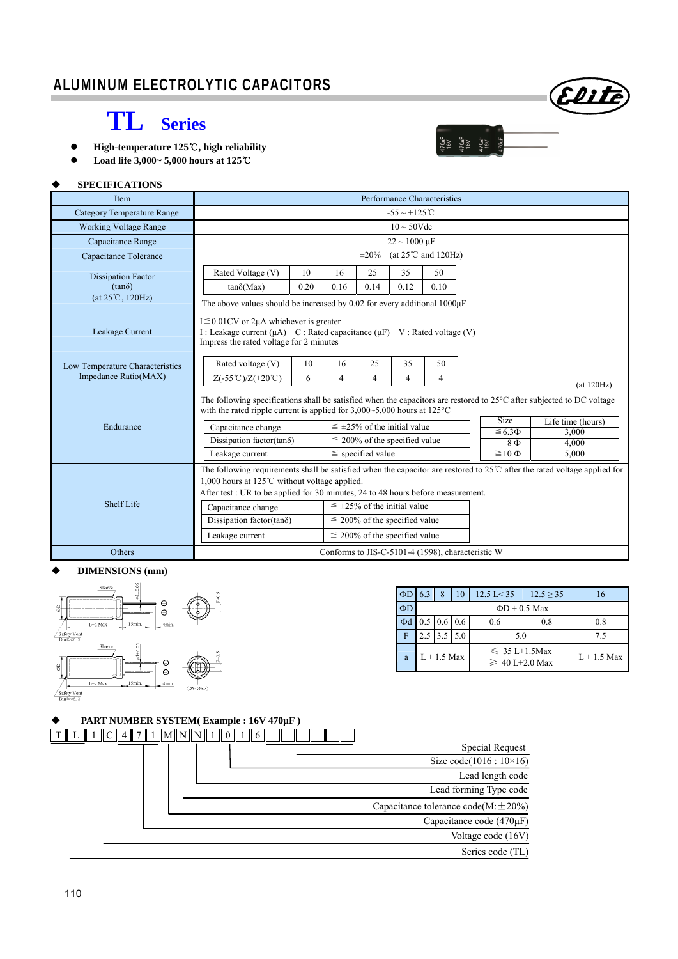# Elite

 $\begin{array}{c} 470 \text{mF} \\ 16 \text{V} \\ 16 \text{V} \\ 16 \text{V} \\ 16 \text{V} \\ 16 \text{V} \\ 16 \text{V} \\ 16 \text{V} \\ 16 \text{V} \\ 16 \text{V} \\ 16 \text{V} \\ 16 \text{V} \\ 16 \text{V} \\ 16 \text{V} \\ 16 \text{V} \\ 16 \text{V} \\ 16 \text{V} \\ 16 \text{V} \\ 16 \text{V} \\ 16 \text{V} \\ 16 \text{V} \\ 16 \text{V} \\ 16 \text{V} \\ 16 \$ 

## **TL Series**

- High-temperature 125℃, high reliability
- **Load life 3,000~ 5,000 hours at 125**℃

### **SPECIFICATIONS**

| <b>Item</b>                                                                                                                                                                                                                                                                      | Performance Characteristics                                                                                                                                                 |                                    |                                    |                |                |                |                             |                    |             |
|----------------------------------------------------------------------------------------------------------------------------------------------------------------------------------------------------------------------------------------------------------------------------------|-----------------------------------------------------------------------------------------------------------------------------------------------------------------------------|------------------------------------|------------------------------------|----------------|----------------|----------------|-----------------------------|--------------------|-------------|
| <b>Category Temperature Range</b>                                                                                                                                                                                                                                                | $-55 \sim +125^{\circ}$ C                                                                                                                                                   |                                    |                                    |                |                |                |                             |                    |             |
| <b>Working Voltage Range</b>                                                                                                                                                                                                                                                     | $10 \sim 50$ Vdc                                                                                                                                                            |                                    |                                    |                |                |                |                             |                    |             |
| Capacitance Range                                                                                                                                                                                                                                                                | $22 \sim 1000 \ \mu F$                                                                                                                                                      |                                    |                                    |                |                |                |                             |                    |             |
| Capacitance Tolerance                                                                                                                                                                                                                                                            | (at $25^{\circ}$ C and $120$ Hz)<br>$\pm 20\%$                                                                                                                              |                                    |                                    |                |                |                |                             |                    |             |
| <b>Dissipation Factor</b>                                                                                                                                                                                                                                                        | Rated Voltage (V)<br>10                                                                                                                                                     |                                    | 16                                 | 25             | 35             | 50             |                             |                    |             |
| $(tan\delta)$                                                                                                                                                                                                                                                                    | 0.20<br>$tan\delta(Max)$                                                                                                                                                    |                                    | 0.16                               | 0.14           | 0.12           | 0.10           |                             |                    |             |
| $(at 25^{\circ}C, 120Hz)$                                                                                                                                                                                                                                                        | The above values should be increased by $0.02$ for every additional $1000\mu$ F                                                                                             |                                    |                                    |                |                |                |                             |                    |             |
| Leakage Current                                                                                                                                                                                                                                                                  | $I \leq 0.01$ CV or 2µA whichever is greater<br>I: Leakage current $(\mu A)$ C: Rated capacitance $(\mu F)$ V: Rated voltage (V)<br>Impress the rated voltage for 2 minutes |                                    |                                    |                |                |                |                             |                    |             |
| Low Temperature Characteristics                                                                                                                                                                                                                                                  | 10<br>Rated voltage (V)                                                                                                                                                     |                                    | 16                                 | 25             | 35             | 50             |                             |                    |             |
| Impedance Ratio(MAX)                                                                                                                                                                                                                                                             | $Z(-55^{\circ}\text{C})/Z(+20^{\circ}\text{C})$<br>6                                                                                                                        |                                    | $\overline{4}$                     | $\overline{4}$ | $\overline{4}$ | $\overline{4}$ |                             |                    | (at 120 Hz) |
| The following specifications shall be satisfied when the capacitors are restored to $25^{\circ}$ C after subjected to DC voltage<br>with the rated ripple current is applied for $3,000 \sim 5,000$ hours at $125^{\circ}$ C                                                     |                                                                                                                                                                             |                                    |                                    |                |                |                |                             |                    |             |
| Endurance                                                                                                                                                                                                                                                                        | Capacitance change                                                                                                                                                          |                                    | $\leq$ ±25% of the initial value   |                |                |                | <b>Size</b>                 | Life time (hours)  |             |
|                                                                                                                                                                                                                                                                                  | Dissipation factor( $tan\delta$ )                                                                                                                                           |                                    | $\leq$ 200% of the specified value |                |                |                | $\leq 6.3 \Phi$<br>$8 \Phi$ | 3.000<br>4,000     |             |
|                                                                                                                                                                                                                                                                                  | Leakage current                                                                                                                                                             |                                    | $\le$ specified value              |                |                |                |                             | $\equiv$ 10 $\Phi$ | 5,000       |
| The following requirements shall be satisfied when the capacitor are restored to $25^{\circ}$ after the rated voltage applied for<br>1,000 hours at 125 $\degree$ C without voltage applied.<br>After test : UR to be applied for 30 minutes, 24 to 48 hours before measurement. |                                                                                                                                                                             |                                    |                                    |                |                |                |                             |                    |             |
| Shelf Life                                                                                                                                                                                                                                                                       | $\leq \pm 25\%$ of the initial value<br>Capacitance change                                                                                                                  |                                    |                                    |                |                |                |                             |                    |             |
|                                                                                                                                                                                                                                                                                  | Dissipation factor(tan $\delta$ )                                                                                                                                           | $\leq$ 200% of the specified value |                                    |                |                |                |                             |                    |             |
|                                                                                                                                                                                                                                                                                  | Leakage current                                                                                                                                                             |                                    | $\leq$ 200% of the specified value |                |                |                |                             |                    |             |
| Others                                                                                                                                                                                                                                                                           | Conforms to JIS-C-5101-4 (1998), characteristic W                                                                                                                           |                                    |                                    |                |                |                |                             |                    |             |

#### **DIMENSIONS (mm)**



| $\Phi$ D | 6.3                | 8                   | 10 | 12.5 L < 35                               | $12.5 \ge 35$ |     |  |  |
|----------|--------------------|---------------------|----|-------------------------------------------|---------------|-----|--|--|
| $\Phi$ D | $\Phi$ D + 0.5 Max |                     |    |                                           |               |     |  |  |
| Φd       |                    | $0.5 \, 0.6 \, 0.6$ |    | 0.6                                       | 0.8           | 0.8 |  |  |
|          |                    | $2.5$ 3.5 5.0       |    | 5.0                                       | 7.5           |     |  |  |
| a        | $L + 1.5$ Max      |                     |    | $\leq 35$ L+1.5Max<br>$\geq 40$ L+2.0 Max | $L + 1.5$ Max |     |  |  |

## **PART NUMBER SYSTEM( Example : 16V 470µF )**